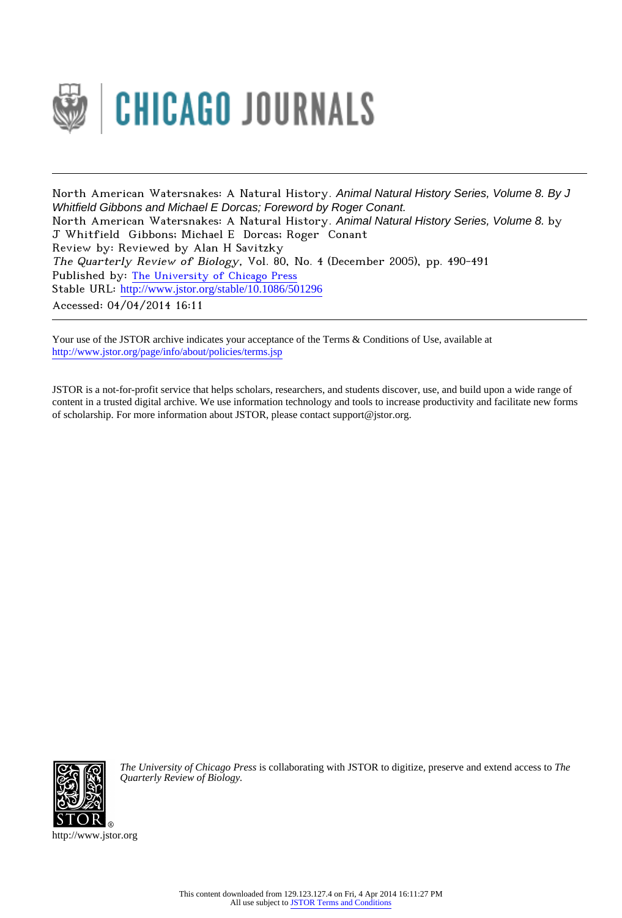

North American Watersnakes: A Natural History. Animal Natural History Series, Volume 8. By J Whitfield Gibbons and Michael E Dorcas; Foreword by Roger Conant. North American Watersnakes: A Natural History. Animal Natural History Series, Volume 8. by J Whitfield Gibbons; Michael E Dorcas; Roger Conant Review by: Reviewed by Alan H Savitzky The Quarterly Review of Biology, Vol. 80, No. 4 (December 2005), pp. 490-491 Published by: [The University of Chicago Press](http://www.jstor.org/action/showPublisher?publisherCode=ucpress) Stable URL: http://www.jstor.org/stable/10.1086/501296 Accessed: 04/04/2014 16:11

Your use of the JSTOR archive indicates your acceptance of the Terms & Conditions of Use, available at <http://www.jstor.org/page/info/about/policies/terms.jsp>

JSTOR is a not-for-profit service that helps scholars, researchers, and students discover, use, and build upon a wide range of content in a trusted digital archive. We use information technology and tools to increase productivity and facilitate new forms of scholarship. For more information about JSTOR, please contact support@jstor.org.



*The University of Chicago Press* is collaborating with JSTOR to digitize, preserve and extend access to *The Quarterly Review of Biology.*

http://www.jstor.org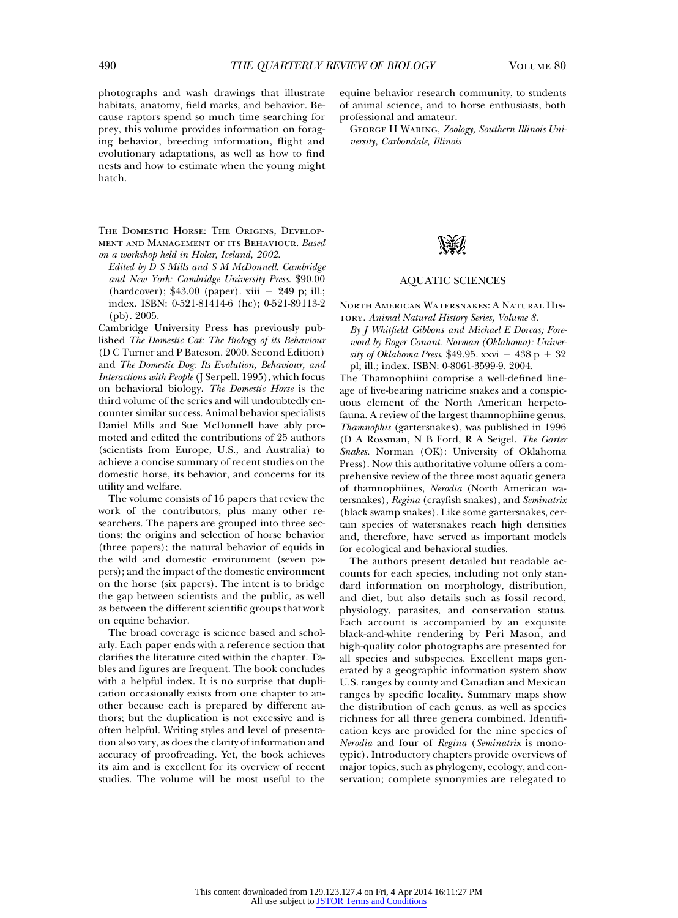photographs and wash drawings that illustrate habitats, anatomy, field marks, and behavior. Because raptors spend so much time searching for prey, this volume provides information on foraging behavior, breeding information, flight and evolutionary adaptations, as well as how to find nests and how to estimate when the young might hatch.

The Domestic Horse: The Origins, Development and Management of its Behaviour. *Based on a workshop held in Holar, Iceland, 2002.*

*Edited by D S Mills and S M McDonnell*. *Cambridge and New York: Cambridge University Press*. \$90.00 (hardcover);  $$43.00$  (paper). xiii + 249 p; ill.; index. ISBN: 0-521-81414-6 (hc); 0-521-89113-2 (pb). 2005.

Cambridge University Press has previously published *The Domestic Cat: The Biology of its Behaviour* (D C Turner and P Bateson. 2000. Second Edition) and *The Domestic Dog: Its Evolution, Behaviour, and Interactions with People* (J Serpell. 1995), which focus on behavioral biology. *The Domestic Horse* is the third volume of the series and will undoubtedly encounter similar success. Animal behavior specialists Daniel Mills and Sue McDonnell have ably promoted and edited the contributions of 25 authors (scientists from Europe, U.S., and Australia) to achieve a concise summary of recent studies on the domestic horse, its behavior, and concerns for its utility and welfare.

The volume consists of 16 papers that review the work of the contributors, plus many other researchers. The papers are grouped into three sections: the origins and selection of horse behavior (three papers); the natural behavior of equids in the wild and domestic environment (seven papers); and the impact of the domestic environment on the horse (six papers). The intent is to bridge the gap between scientists and the public, as well as between the different scientific groups that work on equine behavior.

The broad coverage is science based and scholarly. Each paper ends with a reference section that clarifies the literature cited within the chapter. Tables and figures are frequent. The book concludes with a helpful index. It is no surprise that duplication occasionally exists from one chapter to another because each is prepared by different authors; but the duplication is not excessive and is often helpful. Writing styles and level of presentation also vary, as does the clarity of information and accuracy of proofreading. Yet, the book achieves its aim and is excellent for its overview of recent studies. The volume will be most useful to the equine behavior research community, to students of animal science, and to horse enthusiasts, both professional and amateur.

George H Waring, *Zoology, Southern Illinois University, Carbondale, Illinois*



## AQUATIC SCIENCES

NORTH AMERICAN WATERSNAKES: A NATURAL HIStory. *Animal Natural History Series, Volume 8.*

*By J Whitfield Gibbons and Michael E Dorcas; Foreword by Roger Conant*. *Norman (Oklahoma): University of Oklahoma Press.*  $$49.95.$  xxvi + 438 p + 32 pl; ill.; index. ISBN: 0-8061-3599-9. 2004.

The Thamnophiini comprise a well-defined lineage of live-bearing natricine snakes and a conspicuous element of the North American herpetofauna. A review of the largest thamnophiine genus, *Thamnophis* (gartersnakes), was published in 1996 (D A Rossman, N B Ford, R A Seigel. *The Garter Snakes.* Norman (OK): University of Oklahoma Press). Now this authoritative volume offers a comprehensive review of the three most aquatic genera of thamnophiines, *Nerodia* (North American watersnakes), *Regina* (crayfish snakes), and *Seminatrix* (black swamp snakes). Like some gartersnakes, certain species of watersnakes reach high densities and, therefore, have served as important models for ecological and behavioral studies.

The authors present detailed but readable accounts for each species, including not only standard information on morphology, distribution, and diet, but also details such as fossil record, physiology, parasites, and conservation status. Each account is accompanied by an exquisite black-and-white rendering by Peri Mason, and high-quality color photographs are presented for all species and subspecies. Excellent maps generated by a geographic information system show U.S. ranges by county and Canadian and Mexican ranges by specific locality. Summary maps show the distribution of each genus, as well as species richness for all three genera combined. Identification keys are provided for the nine species of *Nerodia* and four of *Regina* (*Seminatrix* is monotypic). Introductory chapters provide overviews of major topics, such as phylogeny, ecology, and conservation; complete synonymies are relegated to